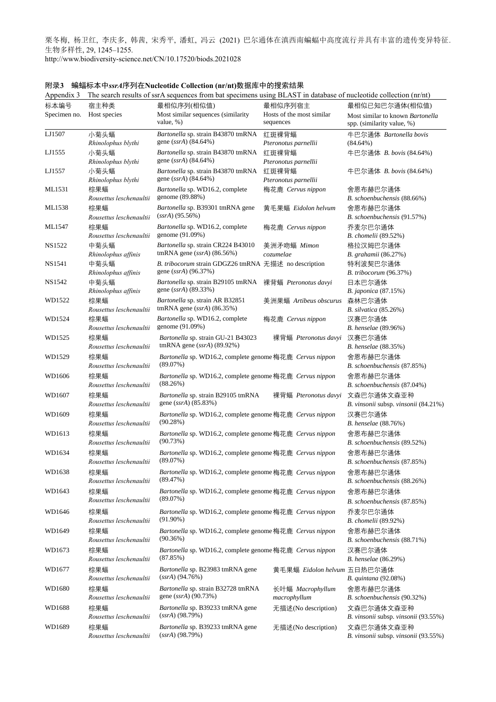栗冬梅, 杨卫红, 李庆多, 韩茜, 宋秀平, 潘虹, 冯云 (2021) 巴尔通体在滇西南蝙蝠中高度流行并具有丰富的遗传变异特征. 生物多样性, 29, 1245–1255. http://www.biodiversity-science.net/CN/10.17520/biods.2021028

Appendix 3 The search results of ssrA sequences from bat specimens using BLAST in database of nucleotide collection (nr/nt) 标本编号 Specimen no. 宿主种类 Host species 最相似序列(相似值) Most similar sequences (similarity value, %) 最相似序列宿主 Hosts of the most similar sequences 最相似已知巴尔通体(相似值) Most similar to known *Bartonella* spp. (similarity value, %) LJ1507 小菊头蝠 *Rhinolophus blythi Bartonella* sp. strain B43870 tmRNA gene (*ssrA*) (84.64%) 红斑裸背蝠 *Pteronotus parnellii* 牛巴尔通体 *Bartonella bovis* (84.64%) LJ1555 小菊头蝠 *Rhinolophus blythi Bartonella* sp. strain B43870 tmRNA gene (*ssrA*) (84.64%) 红斑裸背蝠 *Pteronotus parnellii* 牛巴尔通体 *B. bovis* (84.64%) LJ1557 小菊头蝠 *Rhinolophus blythi Bartonella* sp. strain B43870 tmRNA gene (*ssrA*) (84.64%) 红斑裸背蝠 *Pteronotus parnellii* 牛巴尔通体 *B. bovis* (84.64%) ML1531 棕果蝠 *Rousettus leschenaultii Bartonella* sp. WD16.2, complete genome (89.88%) 梅花鹿 *Cervus nippon* 舍恩布赫巴尔通体 *B. schoenbuchensis* (88.66%) ML1538 棕果蝠 *Rousettus leschenaultii Bartonella* sp. B39301 tmRNA gene (*ssrA*) (95.56%) 黄毛果蝠 *Eidolon helvum* 舍恩布赫巴尔通体 *B. schoenbuchensis* (91.57%) ML1547 棕果蝠 *Rousettus leschenaultii Bartonella* sp. WD16.2, complete genome (91.09%) 梅花鹿 *Cervus nippon* 乔麦尔巴尔通体 *B. chomelii* (89.52%) NS1522 中菊头蝠 *Rhinolophus affinis Bartonella* sp. strain CR224 B43010 tmRNA gene (*ssrA*) (86.56%) 美洲矛吻蝠 *Mimon cozumelae* 格拉汉姆巴尔通体 *B. grahamii* (86.27%) NS1541 中菊头蝠 *Rhinolophus affinis B. tribocorum* strain GDGZ26 tmRNA 无描述 no description 特利波契巴尔通体 gene (*ssrA*) (96.37%) *B. tribocorum* (96.37%) NS1542 中菊头蝠 *Rhinolophus affinis Bartonella* sp. strain B29105 tmRNA gene (*ssrA*) (89.33%) 裸背蝠 *Pteronotus davyi* 日本巴尔通体 *B. japonica* (87.15%) WD1522 棕果蝠 *Rousettus leschenaultii Bartonella* sp. strain AR B32851 tmRNA gene (*ssrA*) (86.35%) 美洲果蝠 *Artibeus obscurus* 森林巴尔通体 *B. silvatica* (85.26%) WD1524 棕里蝠 *Rousettus leschenaultii Bartonella* sp. WD16.2, complete genome (91.09%) 梅花鹿 *Cervus nippon* 汉赛巴尔通体 *B. henselae* (89.96%) WD1525 棕果蝠 *Rousettus leschenaultii Bartonella* sp. strain GU-21 B43023 tmRNA gene (*ssrA*) (89.92%) 裸背蝠 *Pteronotus davyi* 汉赛巴尔通体 *B. henselae* (88.35%) WD1529 棕果蝠 *Rousettus leschenaultii Bartonella* sp. WD16.2, complete genome 梅花鹿 *Cervus nippon* 舍恩布赫巴尔通体 (89.07%) *B. schoenbuchensis* (87.85%) WD1606 棕果蝠 *Rousettus leschenaultii Bartonella* sp. WD16.2, complete genome 梅花鹿 *Cervus nippon* 舍恩布赫巴尔通体 (88.26%) *B. schoenbuchensis* (87.04%) WD1607 棕果蝠 *Rousettus leschenaultii Bartonella* sp. strain B29105 tmRNA gene (*ssrA*) (85.83%) 裸背蝠 *Pteronotus davyi* 文森巴尔通体文森亚种 *B. vinsonii* subsp. *vinsonii* (84.21%) WD1609 棕果蝠 *Rousettus leschenaultii Bartonella* sp. WD16.2, complete genome 梅花鹿 *Cervus nippon* 汉赛巴尔通体 (90.28%) *B. henselae* (88.76%) WD1613 棕果蝠 *Rousettus leschenaultii Bartonella* sp. WD16.2, complete genome 梅花鹿 *Cervus nippon* 舍恩布赫巴尔通体 (90.73%) *B. schoenbuchensis* (89.52%) WD1634 棕果蝠 *Rousettus leschenaultii Bartonella* sp. WD16.2, complete genome 梅花鹿 *Cervus nippon* 舍恩布赫巴尔通体 (89.07%) *B. schoenbuchensis* (87.85%) WD1638 棕果蝠 *Rousettus leschenaultii Bartonella* sp. WD16.2, complete genome 梅花鹿 *Cervus nippon* 舍恩布赫巴尔通体 (89.47%) *B. schoenbuchensis* (88.26%) WD1643 棕果蝠 *Rousettus leschenaultii Bartonella* sp. WD16.2, complete genome 梅花鹿 *Cervus nippon* 舍恩布赫巴尔通体 (89.07%) *B. schoenbuchensis* (87.85%) WD1646 棕果蝠 *Rousettus leschenaultii Bartonella* sp. WD16.2, complete genome 梅花鹿 *Cervus nippon* 乔麦尔巴尔通体 (91.90%) *B. chomelii* (89.92%) WD1649 棕果蝠 *Rousettus leschenaultii Bartonella* sp. WD16.2, complete genome 梅花鹿 *Cervus nippon* 舍恩布赫巴尔通体 (90.36%) *B. schoenbuchensis* (88.71%) WD1673 棕果蝠 *Rousettus leschenaultii Bartonella* sp. WD16.2, complete genome 梅花鹿 *Cervus nippon* 汉赛巴尔通体 (87.85%) *B. henselae* (86.29%) WD1677 棕果蝠 *Rousettus leschenaultii Bartonella* sp. B23983 tmRNA gene (*ssrA*) (94.76%) 黄毛果蝠 *Eidolon helvum* 五日热巴尔通体 *B. quintana* (92.08%) WD1680 棕果蝠 *Rousettus leschenaultii Bartonella* sp. strain B32728 tmRNA gene (*ssrA*) (90.73%) 长叶蝠 *Macrophyllum macrophyllum* 舍恩布赫巴尔通体 *B. schoenbuchensis* (90.32%) WD1688 棕果蝠 *Rousettus leschenaultii Bartonella* sp. B39233 tmRNA gene (*ssrA*) (98.79%) 无描述(No description) 文森巴尔通体文森亚种 *B. vinsonii* subsp. *vinsonii* (93.55%) WD1689 棕果蝠 *Rousettus leschenaultii Bartonella* sp. B39233 tmRNA gene (*ssrA*) (98.79%) 无描述(No description) 文森巴尔通体文森亚种 *B. vinsonii* subsp. *vinsonii* (93.55%)

附录**3** 蝙蝠标本中*ssrA*序列在**Nucleotide Collection (nr/nt)**数据库中的搜索结果